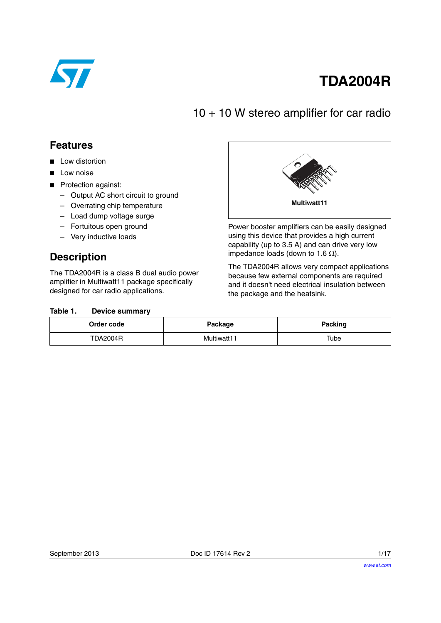

# **TDA2004R**

### 10 + 10 W stereo amplifier for car radio

### **Features**

- Low distortion
- Low noise
- Protection against:
	- Output AC short circuit to ground
	- Overrating chip temperature
	- Load dump voltage surge
	- Fortuitous open ground
	- Very inductive loads

### **Description**

The TDA2004R is a class B dual audio power amplifier in Multiwatt11 package specifically designed for car radio applications.



Power booster amplifiers can be easily designed using this device that provides a high current capability (up to 3.5 A) and can drive very low impedance loads (down to 1.6  $\Omega$ ).

The TDA2004R allows very compact applications because few external components are required and it doesn't need electrical insulation between the package and the heatsink.

#### <span id="page-0-0"></span>Table 1. **Device summary**

| Order code      | Package     | Packing |
|-----------------|-------------|---------|
| <b>TDA2004R</b> | Multiwatt11 | Tube    |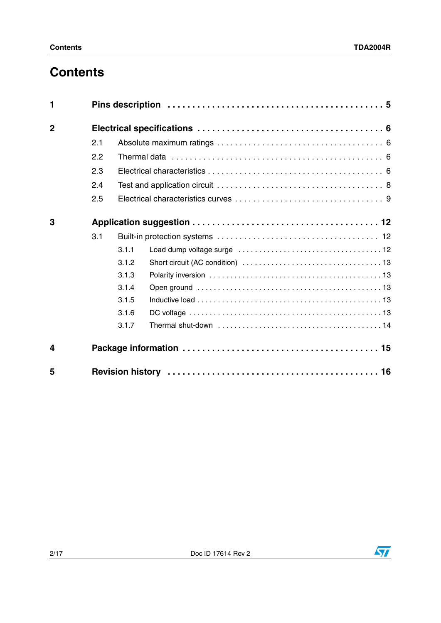## **Contents**

| 1                |     |       |  |
|------------------|-----|-------|--|
| $\overline{2}$   |     |       |  |
|                  | 2.1 |       |  |
|                  | 2.2 |       |  |
|                  | 2.3 |       |  |
|                  | 2.4 |       |  |
|                  | 2.5 |       |  |
| 3                |     |       |  |
|                  | 3.1 |       |  |
|                  |     | 3.1.1 |  |
|                  |     | 3.1.2 |  |
|                  |     | 3.1.3 |  |
|                  |     | 3.1.4 |  |
|                  |     | 3.1.5 |  |
|                  |     | 3.1.6 |  |
|                  |     | 3.1.7 |  |
| $\boldsymbol{4}$ |     |       |  |
| 5                |     |       |  |

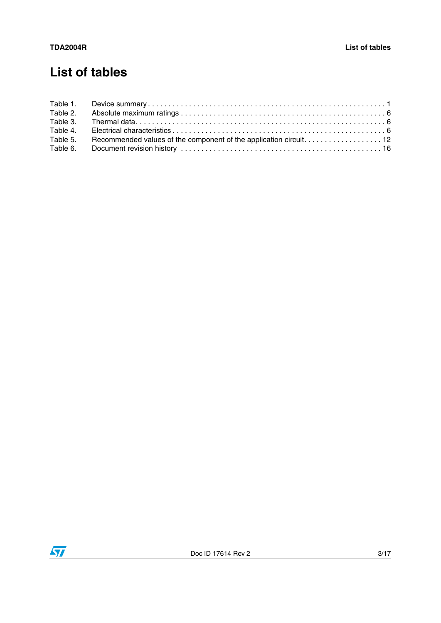## **List of tables**

| Table 1. |  |
|----------|--|
| Table 2. |  |
| Table 3. |  |
| Table 4. |  |
| Table 5. |  |
| Table 6. |  |

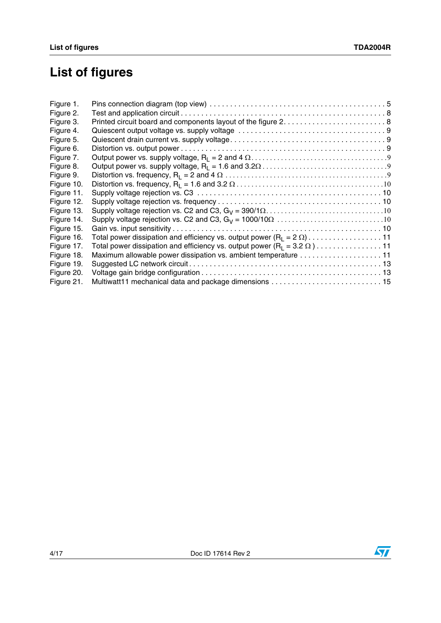# **List of figures**

| Figure 1.  |                                                                                            |  |
|------------|--------------------------------------------------------------------------------------------|--|
| Figure 2.  |                                                                                            |  |
| Figure 3.  |                                                                                            |  |
| Figure 4.  |                                                                                            |  |
| Figure 5.  |                                                                                            |  |
| Figure 6.  |                                                                                            |  |
| Figure 7.  |                                                                                            |  |
| Figure 8.  |                                                                                            |  |
| Figure 9.  |                                                                                            |  |
| Figure 10. |                                                                                            |  |
| Figure 11. |                                                                                            |  |
| Figure 12. |                                                                                            |  |
| Figure 13. |                                                                                            |  |
| Figure 14. |                                                                                            |  |
| Figure 15. |                                                                                            |  |
| Figure 16. |                                                                                            |  |
| Figure 17. | Total power dissipation and efficiency vs. output power (R <sub>I</sub> = 3.2 $\Omega$ )11 |  |
| Figure 18. | Maximum allowable power dissipation vs. ambient temperature 11                             |  |
| Figure 19. |                                                                                            |  |
| Figure 20. |                                                                                            |  |
| Figure 21. |                                                                                            |  |

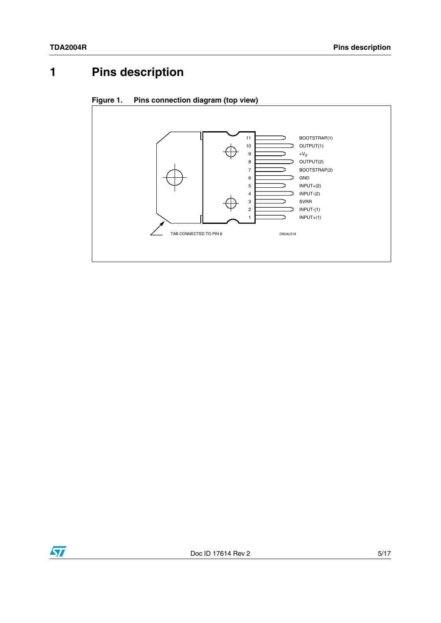## <span id="page-4-0"></span>**1 Pins description**

<span id="page-4-1"></span>



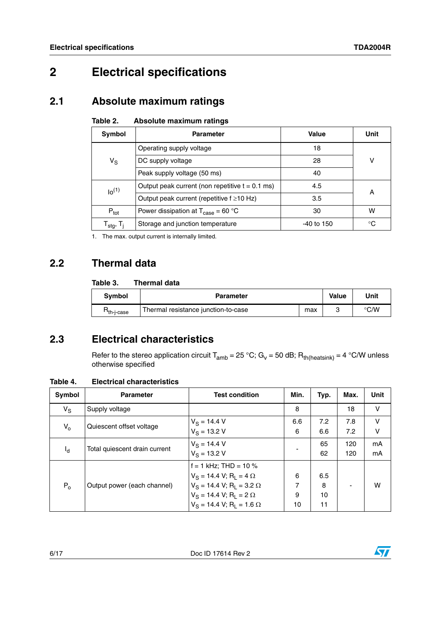### <span id="page-5-0"></span>**2 Electrical specifications**

### <span id="page-5-1"></span>**2.1 Absolute maximum ratings**

<span id="page-5-4"></span>

| Table 2. | Absolute maximum ratings |  |  |
|----------|--------------------------|--|--|
|----------|--------------------------|--|--|

| Symbol                               | <b>Parameter</b>                                            | Value      | Unit |  |
|--------------------------------------|-------------------------------------------------------------|------------|------|--|
|                                      | Operating supply voltage                                    | 18         |      |  |
| $V_{\rm S}$                          | DC supply voltage                                           | 28         | v    |  |
|                                      | Peak supply voltage (50 ms)                                 | 40         |      |  |
| $10^{(1)}$                           | Output peak current (non repetitive $t = 0.1$ ms)           | 4.5        | A    |  |
|                                      | Output peak current (repetitive $f \geq 10$ Hz)             | 3.5        |      |  |
| $P_{\text{tot}}$                     | Power dissipation at $T_{\text{case}} = 60 \degree C$<br>30 |            | w    |  |
| ${\sf T}_{\sf stg}, {\sf T}_{\sf j}$ | Storage and junction temperature                            | -40 to 150 | ℃    |  |

1. The max. output current is internally limited.

### <span id="page-5-2"></span>**2.2 Thermal data**

#### <span id="page-5-5"></span>Table 3. **Thermal data**

| Svmbol     | <b>Parameter</b>                    |     | Value | Unit |
|------------|-------------------------------------|-----|-------|------|
| ־th-i-case | Thermal resistance junction-to-case | max |       | ℃⁄W  |

### <span id="page-5-3"></span>**2.3 Electrical characteristics**

Refer to the stereo application circuit  $T_{amb} = 25 °C$ ; G<sub>v</sub> = 50 dB; R<sub>th(heatsink)</sub> = 4 °C/W unless otherwise specified

<span id="page-5-6"></span>**Table 4. Electrical characteristics**

| Symbol      | <b>Parameter</b>              | <b>Test condition</b>                                                                                                                                                            | Min.              | Typ.                 | Max.       | Unit     |
|-------------|-------------------------------|----------------------------------------------------------------------------------------------------------------------------------------------------------------------------------|-------------------|----------------------|------------|----------|
| $V_{\rm S}$ | Supply voltage                |                                                                                                                                                                                  | 8                 |                      | 18         | $\vee$   |
| $V_{o}$     | Quiescent offset voltage      | $V_S = 14.4 V$<br>$V_S = 13.2 V$                                                                                                                                                 | 6.6<br>6          | 7.2<br>6.6           | 7.8<br>7.2 | v<br>v   |
| ıq.         | Total quiescent drain current | $V_S = 14.4 V$<br>$V_S = 13.2 V$                                                                                                                                                 |                   | 65<br>62             | 120<br>120 | mA<br>mA |
| $P_0$       | Output power (each channel)   | $f = 1$ kHz; THD = 10 %<br>$V_S = 14.4 V; R_L = 4 \Omega$<br>$V_S = 14.4 V; R_1 = 3.2 \Omega$<br>$V_S = 14.4 V; R_1 = 2 \Omega$<br>$V_S = 14.4$ V; R <sub>1</sub> = 1.6 $\Omega$ | 6<br>7<br>9<br>10 | 6.5<br>8<br>10<br>11 |            | w        |

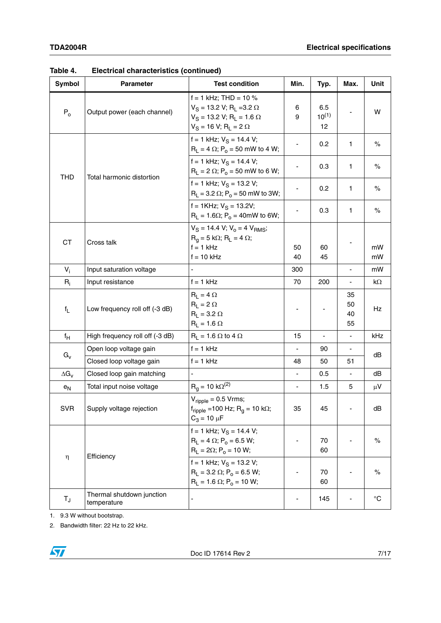| <b>Symbol</b> | <b>Parameter</b>                         | <b>Test condition</b>                                                                                                                        |                | Min.                    |                          | Typ.        | Max. | Unit |
|---------------|------------------------------------------|----------------------------------------------------------------------------------------------------------------------------------------------|----------------|-------------------------|--------------------------|-------------|------|------|
| $P_0$         | Output power (each channel)              | $f = 1$ kHz; THD = 10 %<br>$V_S = 13.2 V; R_L = 3.2 \Omega$<br>$V_S = 13.2$ V; R <sub>L</sub> = 1.6 $\Omega$<br>$V_S = 16 V; R_L = 2 \Omega$ | 6<br>9         | 6.5<br>$10^{(1)}$<br>12 |                          | W           |      |      |
|               |                                          | f = 1 kHz; $V_S$ = 14.4 V;<br>$R_L = 4 \Omega$ ; $P_o = 50$ mW to 4 W;                                                                       |                | 0.2                     | 1                        | $\%$        |      |      |
| <b>THD</b>    | Total harmonic distortion                | f = 1 kHz; $V_S$ = 14.4 V;<br>$R_L = 2 \Omega$ ; $P_o = 50$ mW to 6 W;                                                                       |                | 0.3                     | 1                        | $\%$        |      |      |
|               |                                          | f = 1 kHz; $V_S$ = 13.2 V;<br>$R_L$ = 3.2 $\Omega$ ; $P_o$ = 50 mW to 3W;                                                                    |                | 0.2                     | 1.                       | $\%$        |      |      |
|               |                                          | $f = 1$ KHz; $V_S = 13.2V$ ;<br>$R_L = 1.6\Omega$ ; $P_o = 40$ mW to 6W;                                                                     |                | 0.3                     | 1                        | $\%$        |      |      |
| <b>CT</b>     | Cross talk                               | $V_S = 14.4 V; V_0 = 4 V_{RMS};$<br>$R_q = 5 k\Omega$ ; $R_L = 4 \Omega$ ;<br>$f = 1$ kHz<br>$f = 10$ kHz                                    | 50<br>40       | 60<br>45                |                          | mW<br>mW    |      |      |
| $V_i$         | Input saturation voltage                 |                                                                                                                                              | 300            |                         | $\overline{\phantom{a}}$ | mW          |      |      |
| $R_i$         | Input resistance                         | $f = 1$ kHz                                                                                                                                  | 70             | 200                     | $\overline{\phantom{a}}$ | kΩ          |      |      |
| $f_{\rm L}$   | Low frequency roll off (-3 dB)           | $R_1 = 4 \Omega$<br>$R_1 = 2 \Omega$<br>$R_1 = 3.2 \Omega$<br>$R_L = 1.6 \Omega$                                                             |                |                         | 35<br>50<br>40<br>55     | Hz          |      |      |
| $f_H$         | High frequency roll off (-3 dB)          | $R_L$ = 1.6 $\Omega$ to 4 $\Omega$                                                                                                           | 15             | $\blacksquare$          | $\blacksquare$           | kHz         |      |      |
|               | Open loop voltage gain                   | $f = 1$ kHz                                                                                                                                  | $\blacksquare$ | 90                      |                          |             |      |      |
| $G_{V}$       | Closed loop voltage gain                 | $f = 1$ kHz                                                                                                                                  | 48             | 50                      | 51                       | dB          |      |      |
| $\Delta G_V$  | Closed loop gain matching                |                                                                                                                                              |                | 0.5                     |                          | dB          |      |      |
| $e_N$         | Total input noise voltage                | $R_q = 10 \text{ k}\Omega^{(2)}$                                                                                                             | ä,             | 1.5                     | 5                        | $\mu$ V     |      |      |
| <b>SVR</b>    | Supply voltage rejection                 | $V_{\text{ripole}}$ = 0.5 Vrms;<br>$f_{\text{ripple}} = 100 \text{ Hz}; \text{ R}_\text{g} = 10 \text{ k}\Omega;$<br>$C_3 = 10 \mu F$        | 35             | 45                      |                          | dB          |      |      |
|               | Efficiency                               | f = 1 kHz; $V_S$ = 14.4 V;<br>$R_L = 4 \Omega$ ; $P_o = 6.5 W$ ;<br>$R_L = 2\Omega$ ; $P_o = 10$ W;                                          |                | 70<br>60                |                          | $\%$        |      |      |
| η             |                                          | f = 1 kHz; $V_S$ = 13.2 V;<br>$R_L = 3.2 \Omega$ ; $P_o = 6.5 W$ ;<br>$R_L = 1.6 \Omega$ ; $P_o = 10 W$ ;                                    |                | 70<br>60                |                          | $\%$        |      |      |
| $T_{\rm J}$   | Thermal shutdown junction<br>temperature |                                                                                                                                              |                | 145                     |                          | $^{\circ}C$ |      |      |

| Table 4. | <b>Electrical characteristics (continued)</b> |  |  |
|----------|-----------------------------------------------|--|--|
|----------|-----------------------------------------------|--|--|

1. 9.3 W without bootstrap.

2. Bandwidth filter: 22 Hz to 22 kHz.

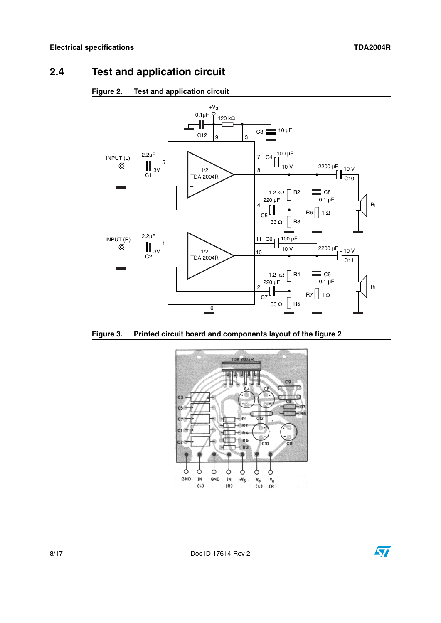### <span id="page-7-0"></span>**2.4 Test and application circuit**

<span id="page-7-1"></span>



<span id="page-7-2"></span>**Figure 3. Printed circuit board and components layout of the figure 2**



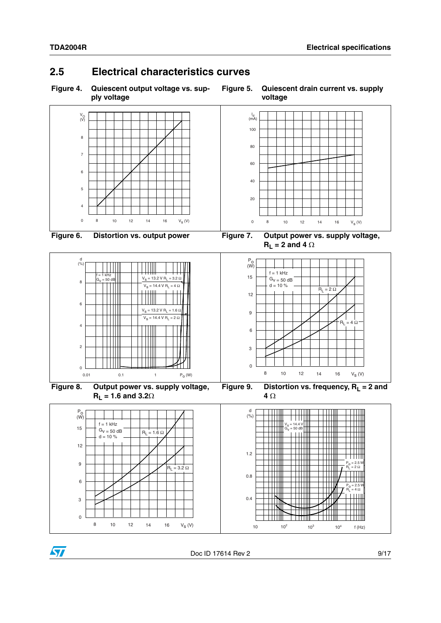### <span id="page-8-0"></span>**2.5 Electrical characteristics curves**

<span id="page-8-1"></span>**Figure 4. Quiescent output voltage vs. supply voltage**

<span id="page-8-4"></span><span id="page-8-2"></span>

<span id="page-8-3"></span>

<span id="page-8-5"></span>



P<sub>o</sub> = 2.5 W<br>R<sub>L</sub> = 2 Ω

 $\Box$ 

TTTT

 $\frac{1}{2}$ 

П

 $\perp$ 

П

 $\overline{\phantom{a}}$ 

 $\top$ 

<span id="page-8-6"></span>╨

╥

 $\Box$ 

 $\Box$ 

Ш

 $P_0 = 2.5 W$  $R_L$  = 4 Ω

<u> Hill</u>

TH 111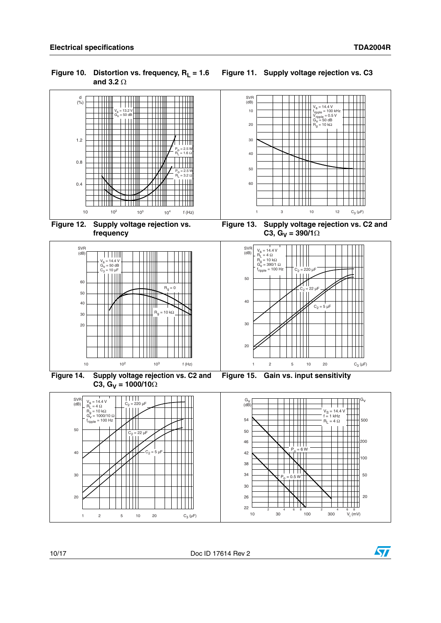<span id="page-9-1"></span><span id="page-9-0"></span>

<span id="page-9-2"></span>

<span id="page-9-4"></span>

<span id="page-9-5"></span><span id="page-9-3"></span>

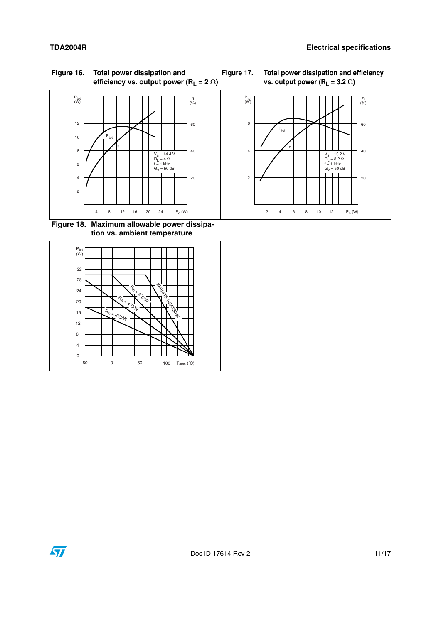<span id="page-10-0"></span>

<span id="page-10-1"></span>



<span id="page-10-2"></span>**Figure 18. Maximum allowable power dissipation vs. ambient temperature**



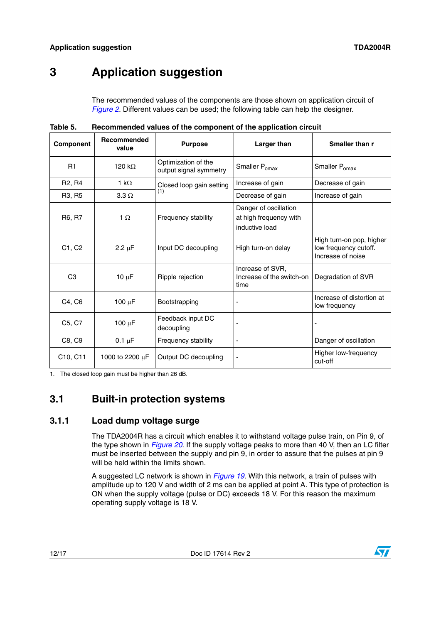## <span id="page-11-0"></span>**3 Application suggestion**

The recommended values of the components are those shown on application circuit of *[Figure 2](#page-7-1)*. Different values can be used; the following table can help the designer.

| <b>Component</b>                | Recommended<br>value | <b>Purpose</b>                                | <b>Larger than</b>                                                | Smaller than r                                                         |
|---------------------------------|----------------------|-----------------------------------------------|-------------------------------------------------------------------|------------------------------------------------------------------------|
| R1                              | 120 k $\Omega$       | Optimization of the<br>output signal symmetry | Smaller P <sub>omax</sub>                                         | Smaller P <sub>omax</sub>                                              |
| R <sub>2</sub> , R <sub>4</sub> | 1 k $\Omega$         | Closed loop gain setting                      | Increase of gain                                                  | Decrease of gain                                                       |
| R3, R5                          | $3.3 \Omega$         | (1)                                           | Decrease of gain                                                  | Increase of gain                                                       |
| R6, R7                          | $1 \Omega$           | Frequency stability                           | Danger of oscillation<br>at high frequency with<br>inductive load |                                                                        |
| C1, C2                          | $2.2 \mu F$          | Input DC decoupling                           | High turn-on delay                                                | High turn-on pop, higher<br>low frequency cutoff.<br>Increase of noise |
| C <sub>3</sub>                  | $10 \mu F$           | Ripple rejection                              | Increase of SVR,<br>Increase of the switch-on<br>time             | Degradation of SVR                                                     |
| C4, C6                          | 100 $\mu$ F          | Bootstrapping                                 |                                                                   | Increase of distortion at<br>low frequency                             |
| C5, C7                          | $100 \mu F$          | Feedback input DC<br>decoupling               |                                                                   |                                                                        |
| C8, C9                          | $0.1 \mu F$          | Frequency stability                           |                                                                   | Danger of oscillation                                                  |
| C10, C11                        | 1000 to 2200 $\mu$ F | Output DC decoupling                          | ٠                                                                 | Higher low-frequency<br>cut-off                                        |

<span id="page-11-3"></span>**Table 5. Recommended values of the component of the application circuit**

1. The closed loop gain must be higher than 26 dB.

### <span id="page-11-1"></span>**3.1 Built-in protection systems**

#### <span id="page-11-2"></span>**3.1.1 Load dump voltage surge**

The TDA2004R has a circuit which enables it to withstand voltage pulse train, on Pin 9, of the type shown in *[Figure 20](#page-12-6)*. If the supply voltage peaks to more than 40 V, then an LC filter must be inserted between the supply and pin 9, in order to assure that the pulses at pin 9 will be held within the limits shown.

A suggested LC network is shown in *[Figure 19](#page-12-5)*. With this network, a train of pulses with amplitude up to 120 V and width of 2 ms can be applied at point A. This type of protection is ON when the supply voltage (pulse or DC) exceeds 18 V. For this reason the maximum operating supply voltage is 18 V.

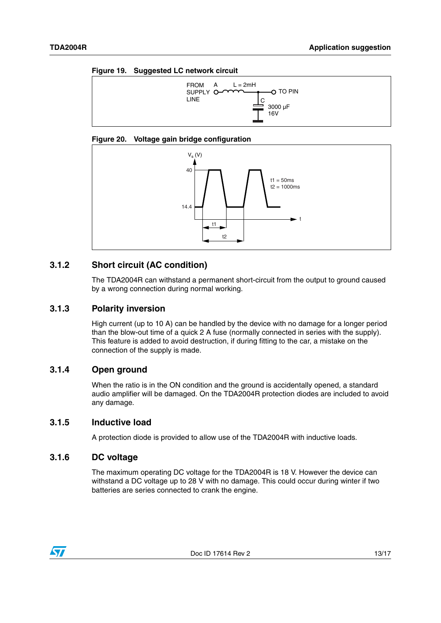<span id="page-12-5"></span>



#### <span id="page-12-6"></span>**Figure 20. Voltage gain bridge configuration**



### <span id="page-12-0"></span>**3.1.2 Short circuit (AC condition)**

The TDA2004R can withstand a permanent short-circuit from the output to ground caused by a wrong connection during normal working.

#### <span id="page-12-1"></span>**3.1.3 Polarity inversion**

High current (up to 10 A) can be handled by the device with no damage for a longer period than the blow-out time of a quick 2 A fuse (normally connected in series with the supply). This feature is added to avoid destruction, if during fitting to the car, a mistake on the connection of the supply is made.

#### <span id="page-12-2"></span>**3.1.4 Open ground**

When the ratio is in the ON condition and the ground is accidentally opened, a standard audio amplifier will be damaged. On the TDA2004R protection diodes are included to avoid any damage.

#### <span id="page-12-3"></span>**3.1.5 Inductive load**

A protection diode is provided to allow use of the TDA2004R with inductive loads.

#### <span id="page-12-4"></span>**3.1.6 DC voltage**

The maximum operating DC voltage for the TDA2004R is 18 V. However the device can withstand a DC voltage up to 28 V with no damage. This could occur during winter if two batteries are series connected to crank the engine.

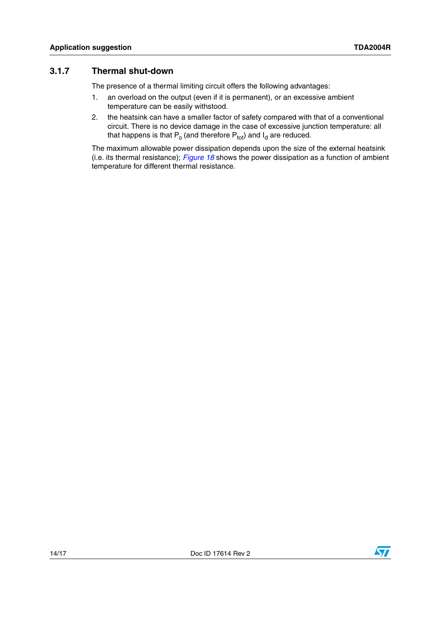### <span id="page-13-0"></span>**3.1.7 Thermal shut-down**

The presence of a thermal limiting circuit offers the following advantages:

- 1. an overload on the output (even if it is permanent), or an excessive ambient temperature can be easily withstood.
- 2. the heatsink can have a smaller factor of safety compared with that of a conventional circuit. There is no device damage in the case of excessive junction temperature: all that happens is that  $P_0$  (and therefore  $P_{tot}$ ) and  $I_d$  are reduced.

The maximum allowable power dissipation depends upon the size of the external heatsink (i.e. its thermal resistance); *[Figure 18](#page-10-2)* shows the power dissipation as a function of ambient temperature for different thermal resistance.

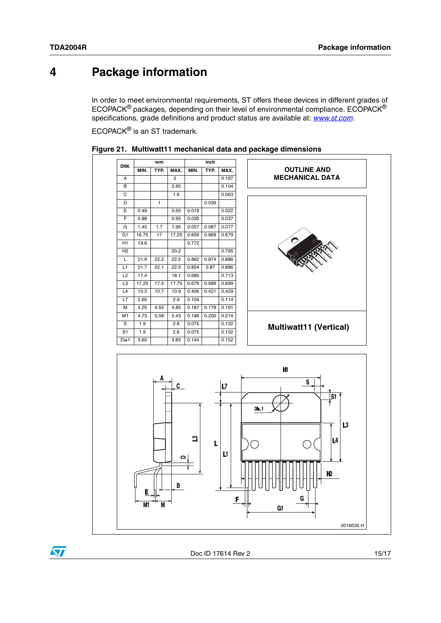### <span id="page-14-0"></span>**4 Package information**

In order to meet environmental requirements, ST offers these devices in different grades of ECOPACK® packages, depending on their level of environmental compliance. ECOPACK® specifications, grade definitions and product status are available at: *[www.st.com](http://www.st.com)*.

ECOPACK® is an ST trademark.



<span id="page-14-1"></span>

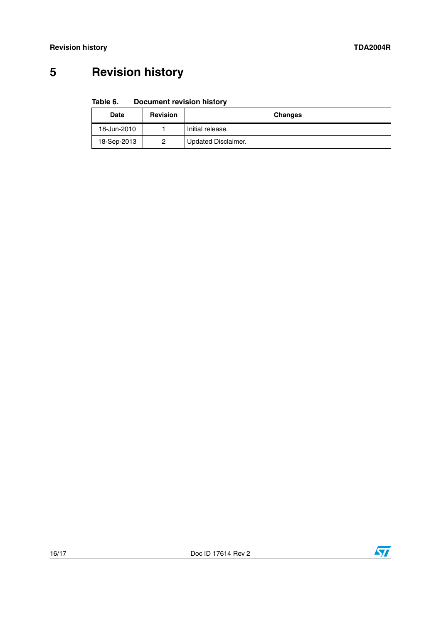# <span id="page-15-0"></span>**5 Revision history**

#### <span id="page-15-1"></span>Table 6. **Document revision history**

| <b>Date</b> | <b>Revision</b> | <b>Changes</b>             |
|-------------|-----------------|----------------------------|
| 18-Jun-2010 |                 | Initial release.           |
| 18-Sep-2013 | 2               | <b>Updated Disclaimer.</b> |